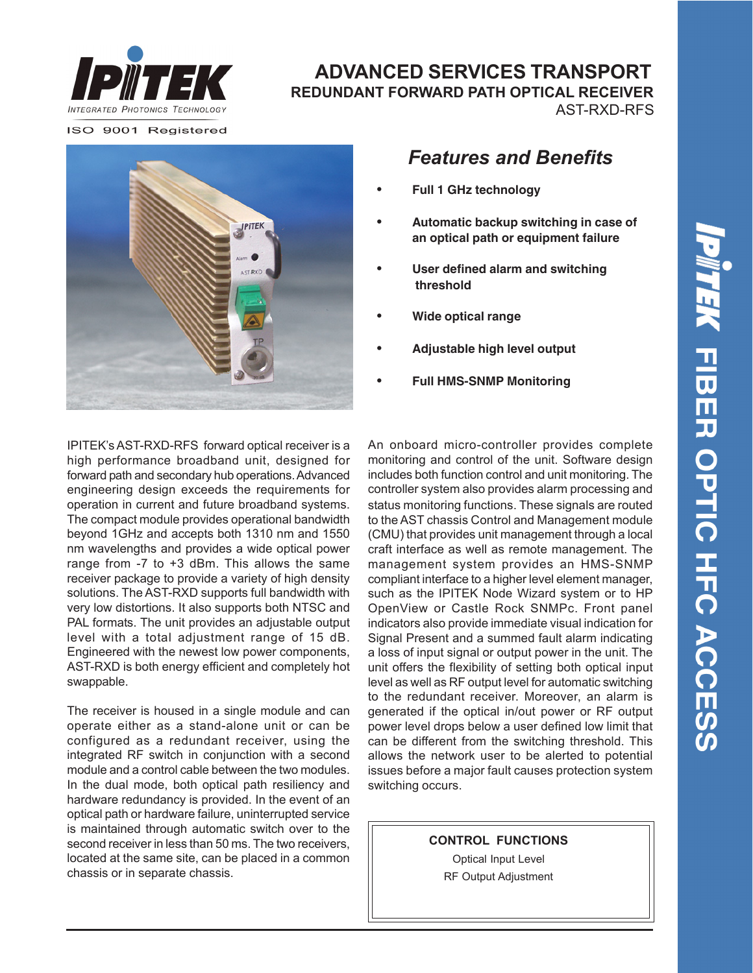

#### **ADVANCED SERVICES TRANSPORT REDUNDANT FORWARD PATH OPTICAL RECEIVER** AST-RXD-RFS

ISO 9001 Registered



# *Features and Benefits*

- **• Full 1 GHz technology**
- **• Automatic backup switching in case of an optical path or equipment failure**
- **• User defined alarm and switching threshold**
- **• Wide optical range**
- **• Adjustable high level output**
- **• Full HMS-SNMP Monitoring**

IPITEK's AST-RXD-RFS forward optical receiver is a high performance broadband unit, designed for forward path and secondary hub operations. Advanced engineering design exceeds the requirements for operation in current and future broadband systems. The compact module provides operational bandwidth beyond 1GHz and accepts both 1310 nm and 1550 nm wavelengths and provides a wide optical power range from -7 to +3 dBm. This allows the same receiver package to provide a variety of high density solutions. The AST-RXD supports full bandwidth with very low distortions. It also supports both NTSC and PAL formats. The unit provides an adjustable output level with a total adjustment range of 15 dB. Engineered with the newest low power components, AST-RXD is both energy efficient and completely hot swappable.

The receiver is housed in a single module and can operate either as a stand-alone unit or can be configured as a redundant receiver, using the integrated RF switch in conjunction with a second module and a control cable between the two modules. In the dual mode, both optical path resiliency and hardware redundancy is provided. In the event of an optical path or hardware failure, uninterrupted service is maintained through automatic switch over to the second receiver in less than 50 ms. The two receivers, located at the same site, can be placed in a common chassis or in separate chassis.

status monitoring functions. These signals are routed to the AST chassis Control and Management module (CMU) that provides unit management through a local craft interface as well as remote management. The management system provides an HMS-SNMP compliant interface to a higher level element manager, such as the IPITEK Node Wizard system or to HP OpenView or Castle Rock SNMPc. Front panel indicators also provide immediate visual indication for Signal Present and a summed fault alarm indicating a loss of input signal or output power in the unit. The unit offers the flexibility of setting both optical input level as well as RF output level for automatic switching to the redundant receiver. Moreover, an alarm is generated if the optical in/out power or RF output power level drops below a user defined low limit that can be different from the switching threshold. This allows the network user to be alerted to potential issues before a major fault causes protection system switching occurs. An onboard micro-controller provides complete monitoring and control of the unit. Software design includes both function control and unit monitoring. The controller system also provides alarm processing and

**CONTROL FUNCTIONS**

Optical Input Level RF Output Adjustment